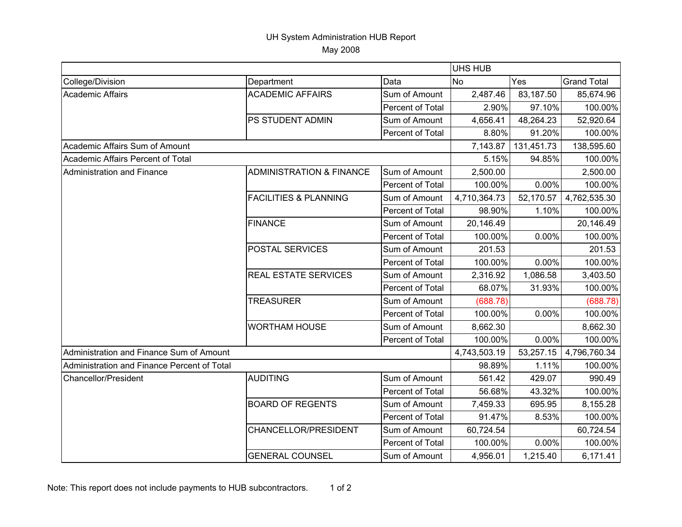## UH System Administration HUB Report May 2008

|                                             |                                     |                  | <b>UHS HUB</b> |            |                    |
|---------------------------------------------|-------------------------------------|------------------|----------------|------------|--------------------|
| College/Division                            | Department                          | Data             | <b>No</b>      | Yes        | <b>Grand Total</b> |
| <b>Academic Affairs</b>                     | <b>ACADEMIC AFFAIRS</b>             | Sum of Amount    | 2,487.46       | 83,187.50  | 85,674.96          |
|                                             |                                     | Percent of Total | 2.90%          | 97.10%     | 100.00%            |
|                                             | PS STUDENT ADMIN                    | Sum of Amount    | 4,656.41       | 48,264.23  | 52,920.64          |
|                                             |                                     | Percent of Total | 8.80%          | 91.20%     | 100.00%            |
| Academic Affairs Sum of Amount              |                                     |                  | 7,143.87       | 131,451.73 | 138,595.60         |
| Academic Affairs Percent of Total           |                                     |                  | 5.15%          | 94.85%     | 100.00%            |
| Administration and Finance                  | <b>ADMINISTRATION &amp; FINANCE</b> | Sum of Amount    | 2,500.00       |            | 2,500.00           |
|                                             |                                     | Percent of Total | 100.00%        | $0.00\%$   | 100.00%            |
|                                             | <b>FACILITIES &amp; PLANNING</b>    | Sum of Amount    | 4,710,364.73   | 52,170.57  | 4,762,535.30       |
|                                             |                                     | Percent of Total | 98.90%         | 1.10%      | 100.00%            |
|                                             | <b>FINANCE</b>                      | Sum of Amount    | 20,146.49      |            | 20,146.49          |
|                                             |                                     | Percent of Total | 100.00%        | 0.00%      | 100.00%            |
|                                             | POSTAL SERVICES                     | Sum of Amount    | 201.53         |            | 201.53             |
|                                             |                                     | Percent of Total | 100.00%        | 0.00%      | 100.00%            |
|                                             | <b>REAL ESTATE SERVICES</b>         | Sum of Amount    | 2,316.92       | 1,086.58   | 3,403.50           |
|                                             |                                     | Percent of Total | 68.07%         | 31.93%     | 100.00%            |
|                                             | <b>TREASURER</b>                    | Sum of Amount    | (688.78)       |            | (688.78)           |
|                                             |                                     | Percent of Total | 100.00%        | 0.00%      | 100.00%            |
|                                             | <b>WORTHAM HOUSE</b>                | Sum of Amount    | 8,662.30       |            | 8,662.30           |
|                                             |                                     | Percent of Total | 100.00%        | 0.00%      | 100.00%            |
| Administration and Finance Sum of Amount    |                                     |                  | 4,743,503.19   | 53,257.15  | 4,796,760.34       |
| Administration and Finance Percent of Total |                                     |                  | 98.89%         | 1.11%      | 100.00%            |
| <b>Chancellor/President</b>                 | <b>AUDITING</b>                     | Sum of Amount    | 561.42         | 429.07     | 990.49             |
|                                             |                                     | Percent of Total | 56.68%         | 43.32%     | 100.00%            |
|                                             | <b>BOARD OF REGENTS</b>             | Sum of Amount    | 7,459.33       | 695.95     | 8,155.28           |
|                                             |                                     | Percent of Total | 91.47%         | 8.53%      | 100.00%            |
|                                             | CHANCELLOR/PRESIDENT                | Sum of Amount    | 60,724.54      |            | 60,724.54          |
|                                             |                                     | Percent of Total | 100.00%        | 0.00%      | 100.00%            |
|                                             | <b>GENERAL COUNSEL</b>              | Sum of Amount    | 4,956.01       | 1,215.40   | 6,171.41           |